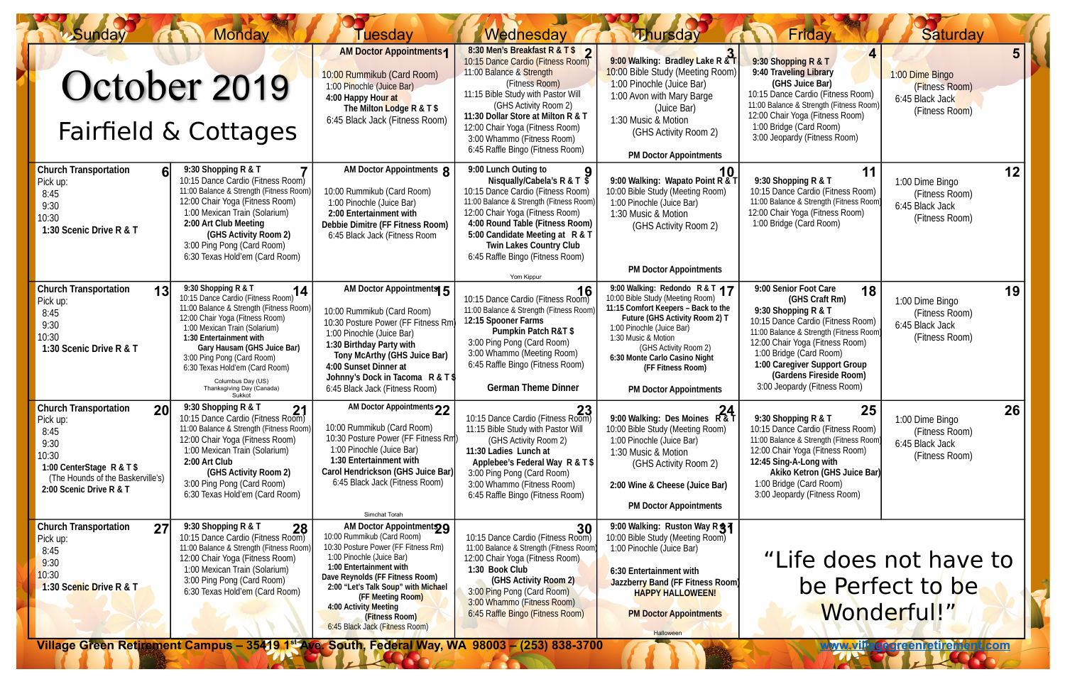| <b>Sunday</b>                                                                                                                                                        | <b>Monday</b>                                                                                                                                                                                                                                                                                                                                                                     | <b>Tuesdav</b>                                                                                                                                                                                                                                                                                                                  | Wednesday                                                                                                                                                                                                                                                                                                                                                          | <b><i>M</i>hursday</b>                                                                                                                                                                                                                                                                                          | Friday                                                                                                                                                                                                                                                                                                       | <b>Saturday</b>                                                        |    |
|----------------------------------------------------------------------------------------------------------------------------------------------------------------------|-----------------------------------------------------------------------------------------------------------------------------------------------------------------------------------------------------------------------------------------------------------------------------------------------------------------------------------------------------------------------------------|---------------------------------------------------------------------------------------------------------------------------------------------------------------------------------------------------------------------------------------------------------------------------------------------------------------------------------|--------------------------------------------------------------------------------------------------------------------------------------------------------------------------------------------------------------------------------------------------------------------------------------------------------------------------------------------------------------------|-----------------------------------------------------------------------------------------------------------------------------------------------------------------------------------------------------------------------------------------------------------------------------------------------------------------|--------------------------------------------------------------------------------------------------------------------------------------------------------------------------------------------------------------------------------------------------------------------------------------------------------------|------------------------------------------------------------------------|----|
| October 2019<br>Fairfield & Cottages                                                                                                                                 |                                                                                                                                                                                                                                                                                                                                                                                   | <b>AM Doctor Appointments1</b><br>10:00 Rummikub (Card Room)<br>1:00 Pinochle (Juice Bar)<br>4:00 Happy Hour at<br>The Milton Lodge R & T \$<br>6:45 Black Jack (Fitness Room)                                                                                                                                                  | 8:30 Men's Breakfast R & T \$ 2<br>10:15 Dance Cardio (Fitness Room)<br>11:00 Balance & Strength<br>(Fitness Room)<br>11:15 Bible Study with Pastor Will<br>(GHS Activity Room 2)<br>11:30 Dollar Store at Milton R & T<br>12:00 Chair Yoga (Fitness Room)<br>3:00 Whammo (Fitness Room)<br>6:45 Raffle Bingo (Fitness Room)                                       | 9:00 Walking: Bradley Lake R & T<br>10:00 Bible Study (Meeting Room)<br>1:00 Pinochle (Juice Bar)<br>1:00 Avon with Mary Barge<br>(Juice Bar)<br>1:30 Music & Motion<br>(GHS Activity Room 2)<br><b>PM Doctor Appointments</b>                                                                                  | 9:30 Shopping R & T<br>9:40 Traveling Library<br>(GHS Juice Bar)<br>10:15 Dance Cardio (Fitness Room)<br>11:00 Balance & Strength (Fitness Room<br>12:00 Chair Yoga (Fitness Room)<br>1:00 Bridge (Card Room)<br>3:00 Jeopardy (Fitness Room)                                                                | 1:00 Dime Bingo<br>(Fitness Room)<br>6:45 Black Jack<br>(Fitness Room) | 5  |
| <b>Church Transportation</b><br>6 <sup>l</sup><br>Pick up:<br>8:45<br>9:30<br>10:30<br>1:30 Scenic Drive R & T                                                       | 9:30 Shopping R & T<br>10:15 Dance Cardio (Fitness Room)<br>11:00 Balance & Strength (Fitness Room)<br>12:00 Chair Yoga (Fitness Room)<br>1:00 Mexican Train (Solarium)<br>2:00 Art Club Meeting<br>(GHS Activity Room 2)<br>3:00 Ping Pong (Card Room)<br>6:30 Texas Hold'em (Card Room)                                                                                         | AM Doctor Appointments 8<br>10:00 Rummikub (Card Room)<br>1:00 Pinochle (Juice Bar)<br>2:00 Entertainment with<br><b>Debbie Dimitre (FF Fitness Room)</b><br>6:45 Black Jack (Fitness Room                                                                                                                                      | 9:00 Lunch Outing to<br>Nisqually/Cabela's R & T $\overline{S}$<br>10:15 Dance Cardio (Fitness Room)<br>11:00 Balance & Strength (Fitness Room)<br>12:00 Chair Yoga (Fitness Room)<br>4:00 Round Table (Fitness Room)<br>5:00 Candidate Meeting at R & T<br><b>Twin Lakes Country Club</b><br>6:45 Raffle Bingo (Fitness Room)<br>Yom Kippur                       | 9:00 Walking: Wapato Point R & T<br>10:00 Bible Study (Meeting Room)<br>1:00 Pinochle (Juice Bar)<br>1:30 Music & Motion<br>(GHS Activity Room 2)<br><b>PM Doctor Appointments</b>                                                                                                                              | 11<br>9:30 Shopping R & T<br>10:15 Dance Cardio (Fitness Room)<br>11:00 Balance & Strength (Fitness Room<br>12:00 Chair Yoga (Fitness Room)<br>1:00 Bridge (Card Room)                                                                                                                                       | 1:00 Dime Bingo<br>(Fitness Room)<br>6:45 Black Jack<br>(Fitness Room) | 12 |
| <b>Church Transportation</b><br>13<br>Pick up:<br>8:45<br>9:30<br>10:30<br>1:30 Scenic Drive R & T                                                                   | 9:30 Shopping R & T<br>$\overline{.}14$<br>10:15 Dance Cardio (Fitness Room)<br>11:00 Balance & Strength (Fitness Room)<br>12:00 Chair Yoga (Fitness Room)<br>1:00 Mexican Train (Solarium)<br>1:30 Entertainment with<br>Gary Hausam (GHS Juice Bar)<br>3:00 Ping Pong (Card Room)<br>6:30 Texas Hold'em (Card Room)<br>Columbus Day (US)<br>Thanksgiving Day (Canada)<br>Sukkot | AM Doctor Appointments 5<br>10:00 Rummikub (Card Room)<br>10:30 Posture Power (FF Fitness Rm<br>1:00 Pinochle (Juice Bar)<br>1:30 Birthday Party with<br><b>Tony McArthy (GHS Juice Bar)</b><br>4:00 Sunset Dinner at<br>Johnny's Dock in Tacoma R & T \$<br>6:45 Black Jack (Fitness Room)                                     | 16<br>10:15 Dance Cardio (Fitness Room)<br>11:00 Balance & Strength (Fitness Room<br>12:15 Spooner Farms<br><b>Pumpkin Patch R&amp;T \$</b><br>3:00 Ping Pong (Card Room)<br>3:00 Whammo (Meeting Room)<br>6:45 Raffle Bingo (Fitness Room)<br><b>German Theme Dinner</b>                                                                                          | 9:00 Walking: Redondo R & T 17<br>10:00 Bible Study (Meeting Room)<br>11:15 Comfort Keepers - Back to the<br>Future (GHS Activity Room 2) T<br>1:00 Pinochle (Juice Bar)<br>1:30 Music & Motion<br>(GHS Activity Room 2)<br>6:30 Monte Carlo Casino Night<br>(FF Fitness Room)<br><b>PM Doctor Appointments</b> | 9:00 Senior Foot Care<br>18<br>(GHS Craft Rm)<br>9:30 Shopping R & T<br>10:15 Dance Cardio (Fitness Room)<br>11:00 Balance & Strength (Fitness Room<br>12:00 Chair Yoga (Fitness Room)<br>1:00 Bridge (Card Room)<br>1:00 Caregiver Support Group<br>(Gardens Fireside Room)<br>3:00 Jeopardy (Fitness Room) | 1:00 Dime Bingo<br>(Fitness Room)<br>6:45 Black Jack<br>(Fitness Room) | 19 |
| <b>Church Transportation</b><br>20<br>Pick up:<br>8:45<br>9:30<br>10:30<br>1:00 CenterStage R & T \$<br>(The Hounds of the Baskerville's)<br>2:00 Scenic Drive R & T | 9:30 Shopping R & T<br>21<br>10:15 Dance Cardio (Fitness Room)<br>11:00 Balance & Strength (Fitness Room)<br>12:00 Chair Yoga (Fitness Room)<br>1:00 Mexican Train (Solarium)<br>2:00 Art Club<br>(GHS Activity Room 2)<br>3:00 Ping Pong (Card Room)<br>6:30 Texas Hold'em (Card Room)                                                                                           | AM Doctor Appointments 22<br>10:00 Rummikub (Card Room)<br>10:30 Posture Power (FF Fitness Rm)<br>1:00 Pinochle (Juice Bar)<br>1:30 Entertainment with<br>Carol Hendrickson (GHS Juice Bar)<br>6:45 Black Jack (Fitness Room)<br>Simchat Torah                                                                                  | 10:15 Dance Cardio (Fitness Room)<br>11:15 Bible Study with Pastor Will<br>(GHS Activity Room 2)<br>11:30 Ladies Lunch at<br>Applebee's Federal Way R & T \$<br>3:00 Ping Pong (Card Room)<br>3:00 Whammo (Fitness Room)<br>6:45 Raffle Bingo (Fitness Room)                                                                                                       | 9:00 Walking: Des Moines R&T<br>10:00 Bible Study (Meeting Room)<br>1:00 Pinochle (Juice Bar)<br>1:30 Music & Motion<br>(GHS Activity Room 2)<br>2:00 Wine & Cheese (Juice Bar)<br><b>PM Doctor Appointments</b>                                                                                                | 25<br>9:30 Shopping R & T<br>10:15 Dance Cardio (Fitness Room)<br>11:00 Balance & Strength (Fitness Room<br>12:00 Chair Yoga (Fitness Room)<br>12:45 Sing-A-Long with<br>Akiko Ketron (GHS Juice Bar)<br>1:00 Bridge (Card Room)<br>3:00 Jeopardy (Fitness Room)                                             | 1:00 Dime Bingo<br>(Fitness Room)<br>6:45 Black Jack<br>(Fitness Room) | 26 |
| <b>Church Transportation</b><br>27<br>Pick up:<br>8:45<br>9:30<br>10:30<br>1:30 Scenic Drive R & T                                                                   | 9:30 Shopping R & T<br>28<br>10:15 Dance Cardio (Fitness Room)<br>11:00 Balance & Strength (Fitness Room)<br>12:00 Chair Yoga (Fitness Room)<br>1:00 Mexican Train (Solarium)<br>3:00 Ping Pong (Card Room)<br>6:30 Texas Hold'em (Card Room)                                                                                                                                     | AM Doctor Appointments<br>10:00 Rummikub (Card Room)<br>10:30 Posture Power (FF Fitness Rm)<br>1:00 Pinochle (Juice Bar)<br>1:00 Entertainment with<br>Dave Reynolds (FF Fitness Room)<br>2:00 "Let's Talk Soup" with Michael<br>(FF Meeting Room)<br>4:00 Activity Meeting<br>(Fitness Room)<br>6:45 Black Jack (Fitness Room) | 30<br>10:15 Dance Cardio (Fitness Room)<br>11:00 Balance & Strength (Fitness Room)<br>12:00 Chair Yoga (Fitness Room)<br>1:30 Book Club<br>(GHS Activity Room 2)<br>3:00 Ping Pong (Card Room)<br>3:00 Whammo (Fitness Room)<br>6:45 Raffle Bingo (Fitness Room)<br>Village Green Retirement Campus - 35419 1st Ave. South, Federal Way, WA 98003 - (253) 838-3700 | 9:00 Walking: Ruston Way R 37<br>10:00 Bible Study (Meeting Room)<br>1:00 Pinochle (Juice Bar)<br>6:30 Entertainment with<br>Jazzberry Band (FF Fitness Room)<br><b>HAPPY HALLOWEEN!</b><br><b>PM Doctor Appointments</b><br><b>Halloween</b>                                                                   | "Life does not have to<br>be Perfect to be<br>Wonderful!"<br><b>WWW.Villageorgenretirei</b> r<br>ent.com                                                                                                                                                                                                     |                                                                        |    |